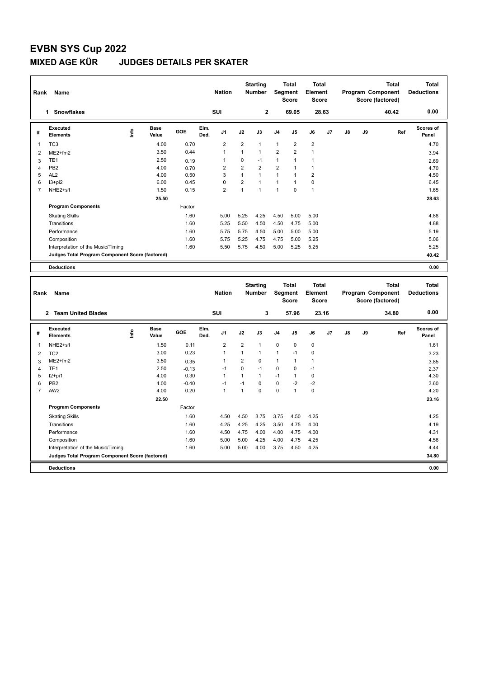## **EVBN SYS Cup 2022 MIXED AGE KÜR JUDGES DETAILS PER SKATER**

| Rank           | Name                                            |                       |        |              | <b>Nation</b>  |                | <b>Starting</b><br><b>Number</b> |                | <b>Total</b><br>Segment<br><b>Score</b> | Total<br>Element<br><b>Score</b> |                |    |    | <b>Total</b><br>Program Component<br>Score (factored) | <b>Total</b><br><b>Deductions</b> |
|----------------|-------------------------------------------------|-----------------------|--------|--------------|----------------|----------------|----------------------------------|----------------|-----------------------------------------|----------------------------------|----------------|----|----|-------------------------------------------------------|-----------------------------------|
|                | <b>Snowflakes</b><br>1                          |                       |        |              | SUI            |                | $\overline{2}$                   |                | 69.05                                   |                                  | 28.63          |    |    | 40.42                                                 | 0.00                              |
| #              | Executed<br><b>Elements</b>                     | Base<br>١nfo<br>Value | GOE    | Elm.<br>Ded. | J <sub>1</sub> | J2             | J3                               | J <sub>4</sub> | J <sub>5</sub>                          | J6                               | J <sub>7</sub> | J8 | J9 | Ref                                                   | <b>Scores of</b><br>Panel         |
| $\mathbf{1}$   | TC <sub>3</sub>                                 | 4.00                  | 0.70   |              | $\overline{2}$ | $\overline{2}$ | $\mathbf{1}$                     | $\mathbf{1}$   | $\overline{2}$                          | $\overline{2}$                   |                |    |    |                                                       | 4.70                              |
| $\overline{2}$ | $ME2+fm2$                                       | 3.50                  | 0.44   |              | $\overline{1}$ | $\mathbf{1}$   | $\mathbf{1}$                     | $\overline{2}$ | $\overline{2}$                          | $\mathbf{1}$                     |                |    |    |                                                       | 3.94                              |
| 3              | TE <sub>1</sub>                                 | 2.50                  | 0.19   |              | -1             | $\Omega$       | $-1$                             | 1              | 1                                       | $\mathbf{1}$                     |                |    |    |                                                       | 2.69                              |
| 4              | PB <sub>2</sub>                                 | 4.00                  | 0.70   |              | $\overline{2}$ | $\overline{2}$ | $\overline{2}$                   | $\overline{2}$ | $\overline{1}$                          | $\mathbf{1}$                     |                |    |    |                                                       | 4.70                              |
| 5              | AL <sub>2</sub>                                 | 4.00                  | 0.50   |              | 3              | $\mathbf{1}$   | $\mathbf{1}$                     | $\mathbf{1}$   | 1                                       | 2                                |                |    |    |                                                       | 4.50                              |
| 6              | $13 + pi2$                                      | 6.00                  | 0.45   |              | $\mathbf 0$    | $\overline{2}$ | $\overline{1}$                   | $\mathbf{1}$   | $\overline{1}$                          | $\mathbf 0$                      |                |    |    |                                                       | 6.45                              |
| $\overline{7}$ | NHE2+s1                                         | 1.50                  | 0.15   |              | $\overline{2}$ | $\mathbf{1}$   | $\overline{1}$                   | $\mathbf{1}$   | $\mathbf 0$                             | $\mathbf{1}$                     |                |    |    |                                                       | 1.65                              |
|                |                                                 | 25.50                 |        |              |                |                |                                  |                |                                         |                                  |                |    |    |                                                       | 28.63                             |
|                | <b>Program Components</b>                       |                       | Factor |              |                |                |                                  |                |                                         |                                  |                |    |    |                                                       |                                   |
|                | <b>Skating Skills</b>                           |                       | 1.60   |              | 5.00           | 5.25           | 4.25                             | 4.50           | 5.00                                    | 5.00                             |                |    |    |                                                       | 4.88                              |
|                | Transitions                                     |                       | 1.60   |              | 5.25           | 5.50           | 4.50                             | 4.50           | 4.75                                    | 5.00                             |                |    |    |                                                       | 4.88                              |
|                | Performance                                     |                       | 1.60   |              | 5.75           | 5.75           | 4.50                             | 5.00           | 5.00                                    | 5.00                             |                |    |    |                                                       | 5.19                              |
|                | Composition                                     |                       | 1.60   |              | 5.75           | 5.25           | 4.75                             | 4.75           | 5.00                                    | 5.25                             |                |    |    |                                                       | 5.06                              |
|                | Interpretation of the Music/Timing              |                       | 1.60   |              | 5.50           | 5.75           | 4.50                             | 5.00           | 5.25                                    | 5.25                             |                |    |    |                                                       | 5.25                              |
|                | Judges Total Program Component Score (factored) |                       |        |              |                |                |                                  |                |                                         |                                  |                |    |    |                                                       | 40.42                             |
|                | <b>Deductions</b>                               |                       |        |              |                |                |                                  |                |                                         |                                  |                |    |    |                                                       | 0.00                              |

| Rank                    | <b>Name</b>                                     |      |                      |         |              | <b>Nation</b>  |                | <b>Starting</b><br><b>Number</b> | Segment        | <b>Total</b><br><b>Score</b> | <b>Total</b><br>Element<br><b>Score</b> |                |               |    | <b>Total</b><br>Program Component<br>Score (factored) | Total<br><b>Deductions</b> |
|-------------------------|-------------------------------------------------|------|----------------------|---------|--------------|----------------|----------------|----------------------------------|----------------|------------------------------|-----------------------------------------|----------------|---------------|----|-------------------------------------------------------|----------------------------|
|                         | <b>Team United Blades</b><br>$\mathbf{2}$       |      |                      |         |              | SUI            |                | 3                                |                | 57.96                        |                                         | 23.16          |               |    | 34.80                                                 | 0.00                       |
| #                       | Executed<br><b>Elements</b>                     | lnfo | <b>Base</b><br>Value | GOE     | Elm.<br>Ded. | J <sub>1</sub> | J2             | J3                               | J <sub>4</sub> | J <sub>5</sub>               | J6                                      | J <sub>7</sub> | $\mathsf{J}8$ | J9 | Ref                                                   | Scores of<br>Panel         |
| $\overline{\mathbf{1}}$ | NHE2+s1                                         |      | 1.50                 | 0.11    |              | $\overline{2}$ | $\overline{2}$ | 1                                | $\mathbf 0$    | $\mathbf 0$                  | $\pmb{0}$                               |                |               |    |                                                       | 1.61                       |
| $\overline{2}$          | TC <sub>2</sub>                                 |      | 3.00                 | 0.23    |              | $\overline{1}$ | 1              | $\overline{1}$                   | $\mathbf{1}$   | $-1$                         | $\mathbf 0$                             |                |               |    |                                                       | 3.23                       |
| 3                       | $ME2+fm2$                                       |      | 3.50                 | 0.35    |              | 1              | $\overline{2}$ | 0                                | 1              | $\mathbf{1}$                 | $\mathbf{1}$                            |                |               |    |                                                       | 3.85                       |
| 4                       | TE <sub>1</sub>                                 |      | 2.50                 | $-0.13$ |              | $-1$           | $\mathbf 0$    | $-1$                             | $\mathbf 0$    | $\mathbf 0$                  | $-1$                                    |                |               |    |                                                       | 2.37                       |
| 5                       | $12+pi1$                                        |      | 4.00                 | 0.30    |              | -1             | $\mathbf{1}$   | 1                                | $-1$           | 1                            | 0                                       |                |               |    |                                                       | 4.30                       |
| 6                       | PB <sub>2</sub>                                 |      | 4.00                 | $-0.40$ |              | $-1$           | $-1$           | $\Omega$                         | $\mathbf 0$    | $-2$                         | $-2$                                    |                |               |    |                                                       | 3.60                       |
| $\overline{7}$          | AW <sub>2</sub>                                 |      | 4.00                 | 0.20    |              | $\overline{1}$ | $\mathbf 1$    | $\Omega$                         | $\mathbf 0$    | 1                            | $\mathbf 0$                             |                |               |    |                                                       | 4.20                       |
|                         |                                                 |      | 22.50                |         |              |                |                |                                  |                |                              |                                         |                |               |    |                                                       | 23.16                      |
|                         | <b>Program Components</b>                       |      |                      | Factor  |              |                |                |                                  |                |                              |                                         |                |               |    |                                                       |                            |
|                         | <b>Skating Skills</b>                           |      |                      | 1.60    |              | 4.50           | 4.50           | 3.75                             | 3.75           | 4.50                         | 4.25                                    |                |               |    |                                                       | 4.25                       |
|                         | Transitions                                     |      |                      | 1.60    |              | 4.25           | 4.25           | 4.25                             | 3.50           | 4.75                         | 4.00                                    |                |               |    |                                                       | 4.19                       |
|                         | Performance                                     |      |                      | 1.60    |              | 4.50           | 4.75           | 4.00                             | 4.00           | 4.75                         | 4.00                                    |                |               |    |                                                       | 4.31                       |
|                         | Composition                                     |      |                      | 1.60    |              | 5.00           | 5.00           | 4.25                             | 4.00           | 4.75                         | 4.25                                    |                |               |    |                                                       | 4.56                       |
|                         | Interpretation of the Music/Timing              |      |                      | 1.60    |              | 5.00           | 5.00           | 4.00                             | 3.75           | 4.50                         | 4.25                                    |                |               |    |                                                       | 4.44                       |
|                         | Judges Total Program Component Score (factored) |      |                      |         |              |                |                |                                  |                |                              |                                         |                |               |    |                                                       | 34.80                      |
|                         | <b>Deductions</b>                               |      |                      |         |              |                |                |                                  |                |                              |                                         |                |               |    |                                                       | 0.00                       |